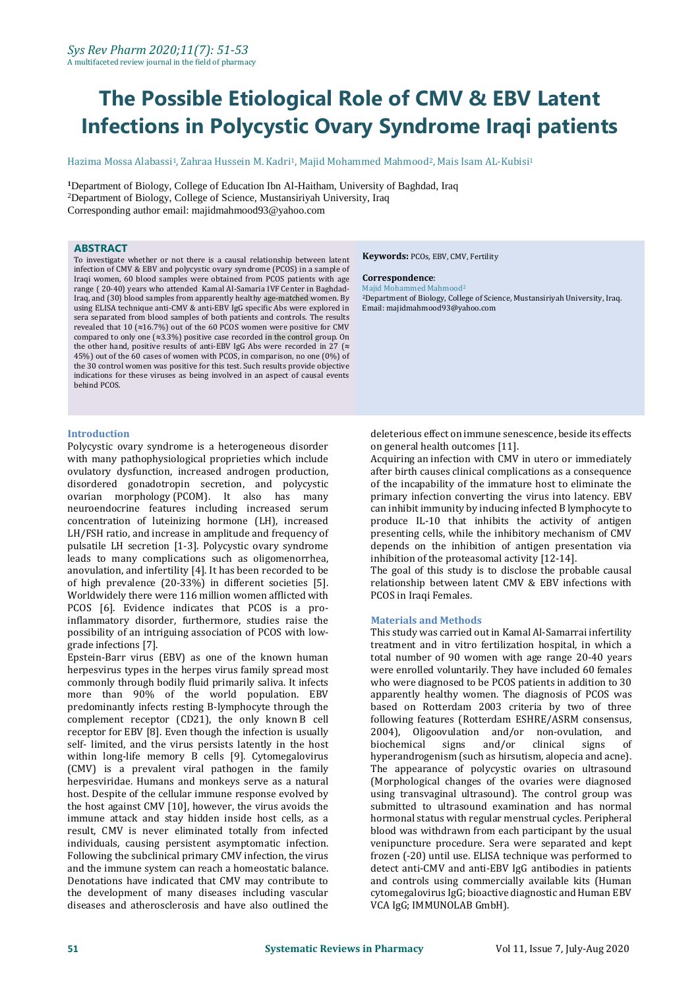# **The Possible Etiological Role of CMV & EBV Latent Infections in Polycystic Ovary Syndrome Iraqi patients**

Hazima Mossa Alabassi<sup>1</sup>, Zahraa Hussein M. Kadri<sup>1</sup>, Majid Mohammed Mahmood<sup>2</sup>, Mais Isam AL-Kubisi<sup>1</sup>

**<sup>1</sup>**Department of Biology, College of Education Ibn Al-Haitham, University of Baghdad, Iraq <sup>2</sup>Department of Biology, College of Science*,* Mustansiriyah University, Iraq Corresponding author email: majidmahmood93@yahoo.com

#### **ABSTRACT**

To investigate whether or not there is a causal relationship between latent infection of CMV & EBV and polycystic ovary syndrome (PCOS) in a sample of Iraqi women, 60 blood samples were obtained from PCOS patients with age range ( 20-40) years who attended Kamal Al-Samaria IVF Center in Baghdad-Iraq, and (30) blood samples from apparently healthy age-matched women. By using ELISA technique anti-CMV & anti-EBV IgG specific Abs were explored in sera separated from blood samples of both patients and controls. The results revealed that 10 (**≈**16.7%) out of the 60 PCOS women were positive for CMV compared to only one (**≈**3.3%) positive case recorded in the control group. On the other hand, positive results of anti-EBV IgG Abs were recorded in 27 (**≈**  45%) out of the 60 cases of women with PCOS, in comparison, no one (0%) of the 30 control women was positive for this test. Such results provide objective indications for these viruses as being involved in an aspect of causal events behind PCOS.

#### **Introduction**

Polycystic ovary syndrome is a heterogeneous disorder with many pathophysiological proprieties which include ovulatory dysfunction, increased androgen production, disordered gonadotropin secretion, and polycystic ovarian morphology (PCOM). It also has many neuroendocrine features including increased serum concentration of luteinizing hormone (LH), increased LH/FSH ratio, and increase in amplitude and frequency of pulsatile LH secretion [1-3]. Polycystic ovary syndrome leads to many complications such as oligomenorrhea, anovulation, and infertility [4]. It has been recorded to be of high prevalence (20-33%) in different societies [5]. Worldwidely there were 116 million women afflicted with PCOS [6]. Evidence indicates that PCOS is a proinflammatory disorder, furthermore, studies raise the possibility of an intriguing association of PCOS with lowgrade infections [7].

Epstein-Barr virus (EBV) as one of the known human herpesvirus types in the herpes virus family spread most commonly through bodily fluid primarily saliva. It infects more than 90% of the world population. EBV predominantly infects resting B-lymphocyte through the complement receptor (CD21), the only known B cell receptor for EBV [8]. Even though the infection is usually self- limited, and the virus persists latently in the host within long-life memory B cells [9]. Cytomegalovirus (CMV) is a prevalent viral pathogen in the family herpesviridae. Humans and monkeys serve as a natural host. Despite of the cellular immune response evolved by the host against CMV [10], however, the virus avoids the immune attack and stay hidden inside host cells, as a result, CMV is never eliminated totally from infected individuals, causing persistent asymptomatic infection. Following the subclinical primary CMV infection, the virus and the immune system can reach a homeostatic balance. Denotations have indicated that CMV may contribute to the development of many diseases including vascular diseases and atherosclerosis and have also outlined the

**Keywords:** PCOs, EBV, CMV, Fertility

#### **Correspondence**:

Majid Mohammed Mahmood<sup>2</sup> <sup>2</sup>Department of Biology, College of Science*,* Mustansiriyah University, Iraq. Email: majidmahmood93@yahoo.com

deleterious effect on immune senescence, beside its effects on general health outcomes [11].

Acquiring an infection with CMV in utero or immediately after birth causes clinical complications as a consequence of the incapability of the immature host to eliminate the primary infection converting the virus into latency. EBV can inhibit immunity by inducing infected B lymphocyte to produce IL-10 that inhibits the activity of antigen presenting cells, while the inhibitory mechanism of CMV depends on the inhibition of antigen presentation via inhibition of the proteasomal activity [12-14].

The goal of this study is to disclose the probable causal relationship between latent CMV & EBV infections with PCOS in Iraqi Females.

#### **Materials and Methods**

This study was carried out in Kamal Al-Samarrai infertility treatment and in vitro fertilization hospital, in which a total number of 90 women with age range 20-40 years were enrolled voluntarily. They have included 60 females who were diagnosed to be PCOS patients in addition to 30 apparently healthy women. The diagnosis of PCOS was based on Rotterdam 2003 criteria by two of three following features (Rotterdam ESHRE/ASRM consensus, 2004), Oligoovulation and/or non-ovulation, and biochemical signs and/or clinical signs of hyperandrogenism (such as hirsutism, alopecia and acne). The appearance of polycystic ovaries on ultrasound (Morphological changes of the ovaries were diagnosed using transvaginal ultrasound). The control group was submitted to ultrasound examination and has normal hormonal status with regular menstrual cycles. Peripheral blood was withdrawn from each participant by the usual venipuncture procedure. Sera were separated and kept frozen (-20) until use. ELISA technique was performed to detect anti-CMV and anti-EBV IgG antibodies in patients and controls using commercially available kits (Human cytomegalovirus IgG; bioactive diagnostic and Human EBV VCA IgG; IMMUNOLAB GmbH).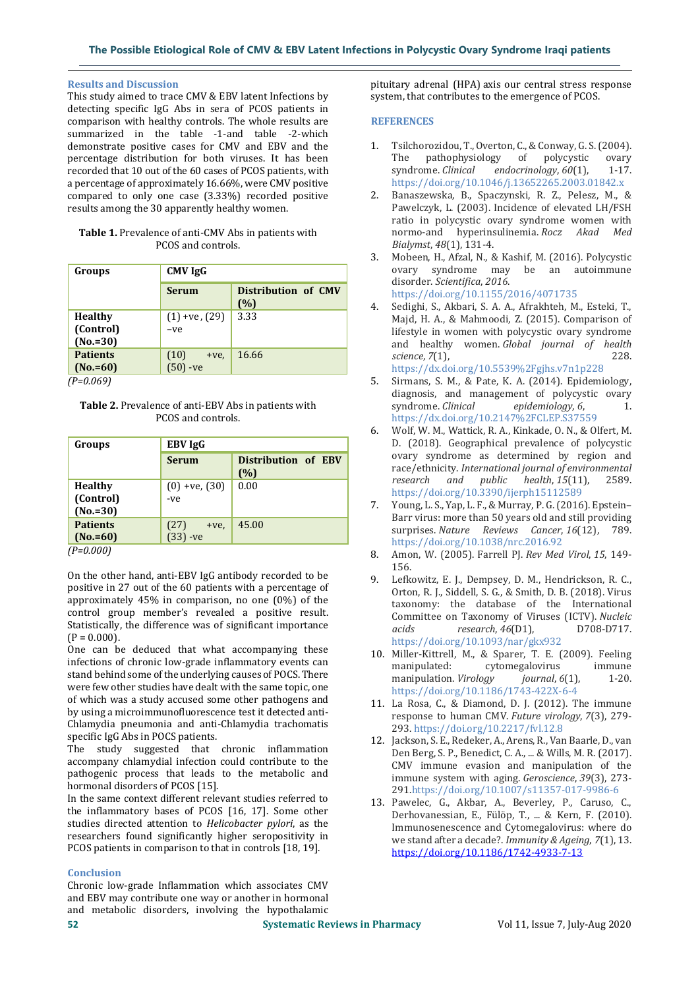### **Results and Discussion**

This study aimed to trace CMV & EBV latent Infections by detecting specific IgG Abs in sera of PCOS patients in comparison with healthy controls. The whole results are summarized in the table -1-and table -2-which demonstrate positive cases for CMV and EBV and the percentage distribution for both viruses. It has been recorded that 10 out of the 60 cases of PCOS patients, with a percentage of approximately 16.66%, were CMV positive compared to only one case (3.33%) recorded positive results among the 30 apparently healthy women.

| <b>Table 1.</b> Prevalence of anti-CMV Abs in patients with |  |  |
|-------------------------------------------------------------|--|--|
| PCOS and controls.                                          |  |  |

| Groups                                    | <b>CMV IgG</b>                |                            |
|-------------------------------------------|-------------------------------|----------------------------|
|                                           | <b>Serum</b>                  | Distribution of CMV<br>(%) |
| <b>Healthy</b><br>(Control)<br>$(No.=30)$ | $(1)$ +ve, $(29)$<br>$-ve$    | 3.33                       |
| <b>Patients</b><br>$(No.=60)$             | (10)<br>$+ve$ .<br>$(50)$ -ve | 16.66                      |

*(P=0.069)*

**Table 2.** Prevalence of anti-EBV Abs in patients with PCOS and controls.

| Groups                                    | <b>EBV IgG</b>             |                            |  |
|-------------------------------------------|----------------------------|----------------------------|--|
|                                           | <b>Serum</b>               | Distribution of EBV<br>(%) |  |
| <b>Healthy</b><br>(Control)<br>$(No.=30)$ | $(0) + ve, (30)$<br>-ve    | 0.00                       |  |
| <b>Patients</b><br>$(No.=60)$             | (27)<br>+ve.<br>$(33)$ -ve | 45.00                      |  |

*(P=0.000)*

On the other hand, anti-EBV IgG antibody recorded to be positive in 27 out of the 60 patients with a percentage of approximately 45% in comparison, no one (0%) of the control group member's revealed a positive result. Statistically, the difference was of significant importance  $(P = 0.000)$ .

One can be deduced that what accompanying these infections of chronic low-grade inflammatory events can stand behind some of the underlying causes of POCS. There were few other studies have dealt with the same topic, one of which was a study accused some other pathogens and by using a microimmunofluorescence test it detected anti-Chlamydia pneumonia and anti-Chlamydia trachomatis specific IgG Abs in POCS patients.

The study suggested that chronic inflammation accompany chlamydial infection could contribute to the pathogenic process that leads to the metabolic and hormonal disorders of PCOS [15].

In the same context different relevant studies referred to the inflammatory bases of PCOS [16, 17]. Some other studies directed attention to *Helicobacter pylori*, as the researchers found significantly higher seropositivity in PCOS patients in comparison to that in controls [18, 19].

## **Conclusion**

Chronic low-grade Inflammation which associates CMV and EBV may contribute one way or another in hormonal and metabolic disorders, involving the hypothalamic pituitary adrenal (HPA) axis our central stress response system, that contributes to the emergence of PCOS.

## **REFERENCES**

- 1. Tsilchorozidou, T., Overton, C., & Conway, G. S. (2004). The pathophysiology of polycystic ovary syndrome. *Clinical* endocrinology, 60(1), 1-17. https://doi.org/10.1046/j.13652265.2003.01842.x
- 2. Banaszewska, B., Spaczynski, R. Z., Pelesz, M., & Pawelczyk, L. (2003). Incidence of elevated LH/FSH ratio in polycystic ovary syndrome women with normo-and hyperinsulinemia. *Rocz Akad Med Bialymst*, *48*(1), 131-4.
- 3. Mobeen, H., Afzal, N., & Kashif, M. (2016). Polycystic ovary syndrome may be an autoimmune disorder. *Scientifica*, *2016*. https://doi.org/10.1155/2016/4071735
- 4. Sedighi, S., Akbari, S. A. A., Afrakhteh, M., Esteki, T., Majd, H. A., & Mahmoodi, Z. (2015). Comparison of lifestyle in women with polycystic ovary syndrome and healthy women. *Global journal of health science*, *7*(1), 228. https://dx.doi.org/10.5539%2Fgjhs.v7n1p228
- 5. Sirmans, S. M., & Pate, K. A. (2014). Epidemiology, diagnosis, and management of polycystic ovary syndrome. *Clinical epidemiology*, 6, 2. https://dx.doi.org/10.2147%2FCLEP.S37559
- 6. Wolf, W. M., Wattick, R. A., Kinkade, O. N., & Olfert, M. D. (2018). Geographical prevalence of polycystic ovary syndrome as determined by region and race/ethnicity. *International journal of environmental research and public health*, *15*(11), 2589. https://doi.org/10.3390/ijerph15112589
- 7. Young, L. S., Yap, L. F., & Murray, P. G. (2016). Epstein– Barr virus: more than 50 years old and still providing surprises. *Nature Reviews Cancer*, 16(12), 789. https://doi.org/10.1038/nrc.2016.92
- 8. Amon, W. (2005). Farrell PJ. *Rev Med Virol*, *15*, 149- 156.
- 9. Lefkowitz, E. J., Dempsey, D. M., Hendrickson, R. C., Orton, R. J., Siddell, S. G., & Smith, D. B. (2018). Virus taxonomy: the database of the International Committee on Taxonomy of Viruses (ICTV). *Nucleic acids research*, *46*(D1), D708-D717. https://doi.org/10.1093/nar/gkx932
- 10. Miller-Kittrell, M., & Sparer, T. E. (2009). Feeling manipulated: cytomegalovirus immune manipulation. *Virology journal*,  $6(1)$ , 1-20. https://doi.org/10.1186/1743-422X-6-4
- 11. La Rosa, C., & Diamond, D. J. (2012). The immune response to human CMV. *Future virology*, *7*(3), 279- 293. https://doi.org/10.2217/fvl.12.8
- 12. Jackson, S. E., Redeker, A., Arens, R., Van Baarle, D., van Den Berg, S. P., Benedict, C. A., ... & Wills, M. R. (2017). CMV immune evasion and manipulation of the immune system with aging. *Geroscience*, *39*(3), 273- 291.https://doi.org/10.1007/s11357-017-9986-6
- 13. Pawelec, G., Akbar, A., Beverley, P., Caruso, C., Derhovanessian, E., Fülöp, T., ... & Kern, F. (2010). Immunosenescence and Cytomegalovirus: where do we stand after a decade?. *Immunity & Ageing*, *7*(1), 13. <https://doi.org/10.1186/1742-4933-7-13>